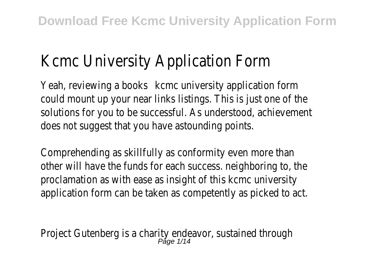## Kcmc University Application Form

Yeah, reviewing a books and university application form could mount up your near links listings. This is just one of the solutions for you to be successful. As understood, achievement does not suggest that you have astounding points.

Comprehending as skillfully as conformity even more than other will have the funds for each success. neighboring to, the proclamation as with ease as insight of this kcmc university application form can be taken as competently as picked to act.

Project Gutenberg is a charity endeavor, sustained through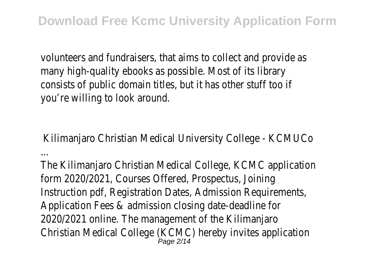volunteers and fundraisers, that aims to collect and provide as many high-quality ebooks as possible. Most of its library consists of public domain titles, but it has other stuff too if you're willing to look around.

Kilimanjaro Christian Medical University College - KCMUCo ...

The Kilimanjaro Christian Medical College, KCMC application form 2020/2021, Courses Offered, Prospectus, Joining Instruction pdf, Registration Dates, Admission Requirements, Application Fees & admission closing date-deadline for 2020/2021 online. The management of the Kilimanjaro Christian Medical College (KCMC) hereby invites application Page 2/14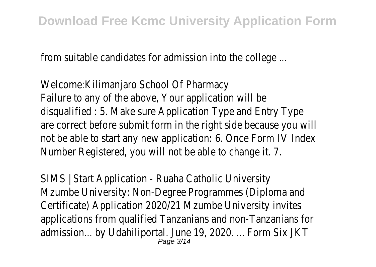from suitable candidates for admission into the college ...

Welcome:Kilimanjaro School Of Pharmacy Failure to any of the above, Your application will be disqualified : 5. Make sure Application Type and Entry Type are correct before submit form in the right side because you will not be able to start any new application: 6. Once Form IV Index Number Registered, you will not be able to change it. 7.

SIMS | Start Application - Ruaha Catholic University Mzumbe University: Non-Degree Programmes (Diploma and Certificate) Application 2020/21 Mzumbe University invites applications from qualified Tanzanians and non-Tanzanians for admission... by Udahiliportal. June 19, 2020. ... Form Six JKT Page 3/14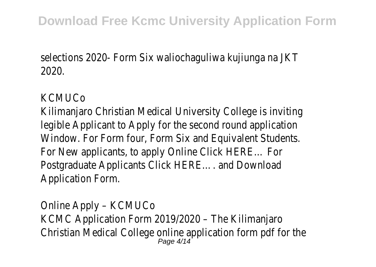selections 2020- Form Six waliochaguliwa kujiunga na JKT 2020.

## **KCMUCo**

Kilimanjaro Christian Medical University College is inviting legible Applicant to Apply for the second round application Window. For Form four, Form Six and Equivalent Students. For New applicants, to apply Online Click HERE… For Postgraduate Applicants Click HERE…. and Download Application Form.

Online Apply – KCMUCo KCMC Application Form 2019/2020 – The Kilimanjaro Christian Medical College online application form pdf for the Page 4/14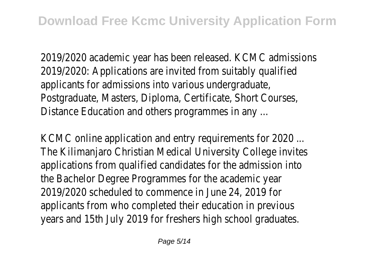2019/2020 academic year has been released. KCMC admissions 2019/2020: Applications are invited from suitably qualified applicants for admissions into various undergraduate, Postgraduate, Masters, Diploma, Certificate, Short Courses, Distance Education and others programmes in any ...

KCMC online application and entry requirements for 2020 ... The Kilimanjaro Christian Medical University College invites applications from qualified candidates for the admission into the Bachelor Degree Programmes for the academic year 2019/2020 scheduled to commence in June 24, 2019 for applicants from who completed their education in previous years and 15th July 2019 for freshers high school graduates.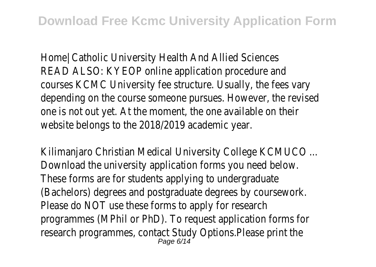Home| Catholic University Health And Allied Sciences READ ALSO: KYEOP online application procedure and courses KCMC University fee structure. Usually, the fees vary depending on the course someone pursues. However, the revise one is not out yet. At the moment, the one available on their website belongs to the 2018/2019 academic year.

Kilimaniaro Christian Medical University College KCMUCO ... Download the university application forms you need below. These forms are for students applying to undergraduate (Bachelors) degrees and postgraduate degrees by coursework. Please do NOT use these forms to apply for research programmes (MPhil or PhD). To request application forms for research programmes, contact Study Options.Please print the Page 6/14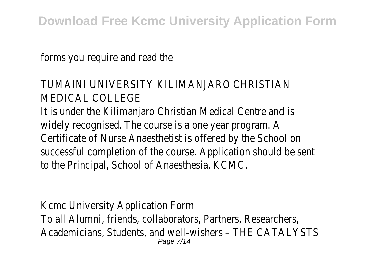forms you require and read the

## TUMAINI UNIVERSITY KILIMANJARO CHRISTIAN MEDICAL COLLEGE

It is under the Kilimanjaro Christian Medical Centre and is widely recognised. The course is a one year program. A Certificate of Nurse Anaesthetist is offered by the School on successful completion of the course. Application should be sent to the Principal, School of Anaesthesia, KCMC.

Kcmc University Application Form To all Alumni, friends, collaborators, Partners, Researchers, Academicians, Students, and well-wishers – THE CATALYSTS Page 7/14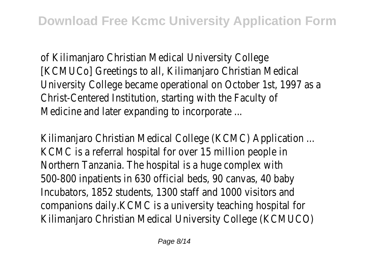of Kilimanjaro Christian Medical University College [KCMUCo] Greetings to all, Kilimanjaro Christian Medical University College became operational on October 1st, 1997 as a Christ-Centered Institution, starting with the Faculty of Medicine and later expanding to incorporate ...

Kilimaniaro Christian Medical College (KCMC) Application ... KCMC is a referral hospital for over 15 million people in Northern Tanzania. The hospital is a huge complex with 500-800 inpatients in 630 official beds, 90 canvas, 40 baby Incubators, 1852 students, 1300 staff and 1000 visitors and companions daily.KCMC is a university teaching hospital for Kilimanjaro Christian Medical University College (KCMUCO)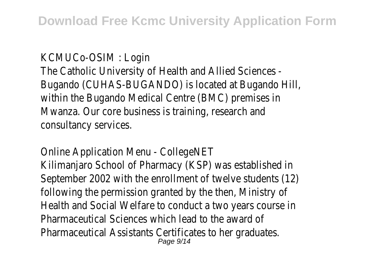KCMUCo-OSIM : Login The Catholic University of Health and Allied Sciences - Bugando (CUHAS-BUGANDO) is located at Bugando Hill, within the Bugando Medical Centre (BMC) premises in Mwanza. Our core business is training, research and consultancy services.

Online Application Menu - CollegeNET Kilimanjaro School of Pharmacy (KSP) was established in September 2002 with the enrollment of twelve students (12) following the permission granted by the then, Ministry of Health and Social Welfare to conduct a two years course in Pharmaceutical Sciences which lead to the award of Pharmaceutical Assistants Certificates to her graduates. Page  $9/14$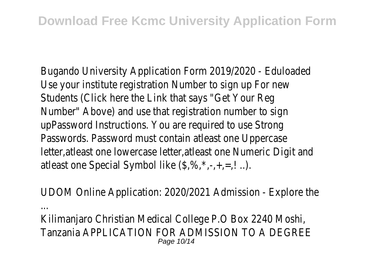Bugando University Application Form 2019/2020 - Eduloaded Use your institute registration Number to sign up For new Students (Click here the Link that says "Get Your Reg Number" Above) and use that registration number to sign upPassword Instructions. You are required to use Strong Passwords. Password must contain atleast one Uppercase letter, atleast one lowercase letter, atleast one Numeric Digit and atleast one Special Symbol like  $(\frac{2}{3}, \frac{2}{3}, \frac{1}{3}, \frac{1}{3}, \frac{1}{3})$ .

UDOM Online Application: 2020/2021 Admission - Explore the ...

Kilimanjaro Christian Medical College P.O Box 2240 Moshi, Tanzania APPLICATION FOR ADMISSION TO A DEGREE Page 10/14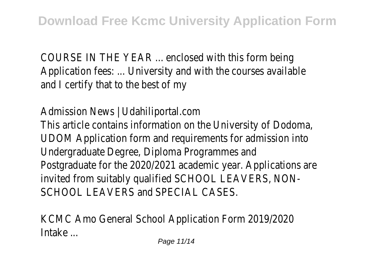COURSE IN THE YEAR ... enclosed with this form being Application fees: ... University and with the courses available and I certify that to the best of my

Admission News | Udahiliportal.com

This article contains information on the University of Dodoma, UDOM Application form and requirements for admission into Undergraduate Degree, Diploma Programmes and Postgraduate for the 2020/2021 academic year. Applications are invited from suitably qualified SCHOOL LEAVERS, NON-SCHOOL LEAVERS and SPECIAL CASES.

KCMC Amo General School Application Form 2019/2020 Intake ...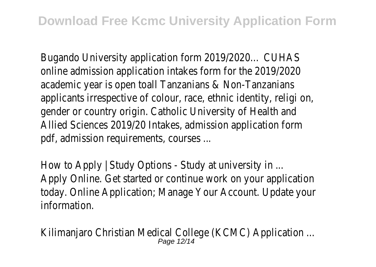Bugando University application form 2019/2020… CUHAS online admission application intakes form for the 2019/2020 academic year is open toall Tanzanians & Non-Tanzanians applicants irrespective of colour, race, ethnic identity, religi on, gender or country origin. Catholic University of Health and Allied Sciences 2019/20 Intakes, admission application form pdf, admission requirements, courses ...

How to Apply | Study Options - Study at university in ... Apply Online. Get started or continue work on your application today. Online Application; Manage Your Account. Update your information.

Kilimaniaro Christian Medical College (KCMC) Application ... Page 12/14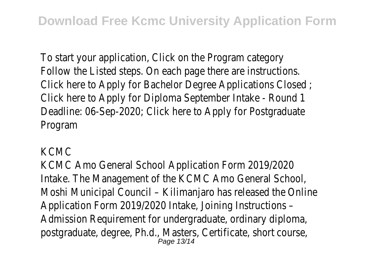To start your application, Click on the Program category Follow the Listed steps. On each page there are instructions. Click here to Apply for Bachelor Degree Applications Closed ; Click here to Apply for Diploma September Intake - Round 1 Deadline: 06-Sep-2020; Click here to Apply for Postgraduate Program

## KCMC

KCMC Amo General School Application Form 2019/2020 Intake. The Management of the KCMC Amo General School, Moshi Municipal Council – Kilimanjaro has released the Online Application Form 2019/2020 Intake, Joining Instructions – Admission Requirement for undergraduate, ordinary diploma, postgraduate, degree, Ph.d., Masters, Certificate, short course, Page 13/14